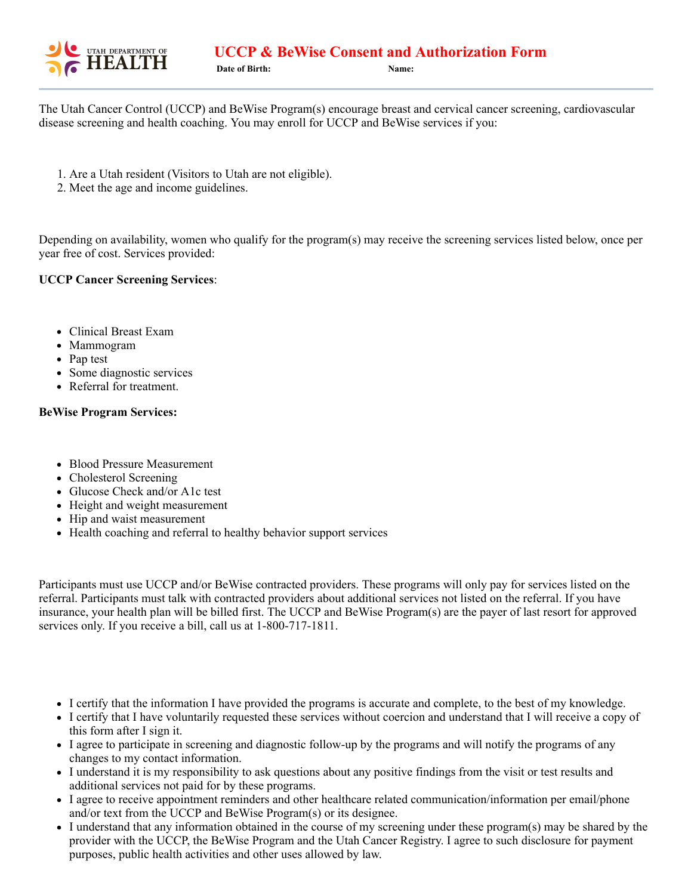

The Utah Cancer Control (UCCP) and BeWise Program(s) encourage breast and cervical cancer screening, cardiovascular disease screening and health coaching. You may enroll for UCCP and BeWise services if you:

- 1. Are a Utah resident (Visitors to Utah are not eligible).
- 2. Meet the age and income guidelines.

Depending on availability, women who qualify for the program(s) may receive the screening services listed below, once per year free of cost. Services provided:

## **UCCP Cancer Screening Services**:

- Clinical Breast Exam
- Mammogram
- Pap test
- Some diagnostic services
- Referral for treatment.

## **BeWise Program Services:**

- Blood Pressure Measurement
- Cholesterol Screening
- Glucose Check and/or A1c test
- Height and weight measurement
- Hip and waist measurement
- Health coaching and referral to healthy behavior support services

Participants must use UCCP and/or BeWise contracted providers. These programs will only pay for services listed on the referral. Participants must talk with contracted providers about additional services not listed on the referral. If you have insurance, your health plan will be billed first. The UCCP and BeWise Program(s) are the payer of last resort for approved services only. If you receive a bill, call us at 1-800-717-1811.

- I certify that the information I have provided the programs is accurate and complete, to the best of my knowledge.
- I certify that I have voluntarily requested these services without coercion and understand that I will receive a copy of this form after I sign it.
- I agree to participate in screening and diagnostic follow-up by the programs and will notify the programs of any changes to my contact information.
- I understand it is my responsibility to ask questions about any positive findings from the visit or test results and additional services not paid for by these programs.
- I agree to receive appointment reminders and other healthcare related communication/information per email/phone and/or text from the UCCP and BeWise Program(s) or its designee.
- I understand that any information obtained in the course of my screening under these program(s) may be shared by the provider with the UCCP, the BeWise Program and the Utah Cancer Registry. I agree to such disclosure for payment purposes, public health activities and other uses allowed by law.